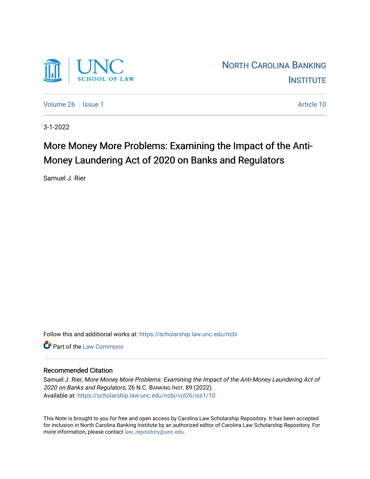

[Volume 26](https://scholarship.law.unc.edu/ncbi/vol26) | [Issue 1](https://scholarship.law.unc.edu/ncbi/vol26/iss1) Article 10

3-1-2022

# More Money More Problems: Examining the Impact of the Anti-Money Laundering Act of 2020 on Banks and Regulators

Samuel J. Rier

Follow this and additional works at: [https://scholarship.law.unc.edu/ncbi](https://scholarship.law.unc.edu/ncbi?utm_source=scholarship.law.unc.edu%2Fncbi%2Fvol26%2Fiss1%2F10&utm_medium=PDF&utm_campaign=PDFCoverPages)

**C** Part of the [Law Commons](https://network.bepress.com/hgg/discipline/578?utm_source=scholarship.law.unc.edu%2Fncbi%2Fvol26%2Fiss1%2F10&utm_medium=PDF&utm_campaign=PDFCoverPages)

# Recommended Citation

Samuel J. Rier, More Money More Problems: Examining the Impact of the Anti-Money Laundering Act of 2020 on Banks and Regulators, 26 N.C. BANKING INST. 89 (2022). Available at: [https://scholarship.law.unc.edu/ncbi/vol26/iss1/10](https://scholarship.law.unc.edu/ncbi/vol26/iss1/10?utm_source=scholarship.law.unc.edu%2Fncbi%2Fvol26%2Fiss1%2F10&utm_medium=PDF&utm_campaign=PDFCoverPages) 

This Note is brought to you for free and open access by Carolina Law Scholarship Repository. It has been accepted for inclusion in North Carolina Banking Institute by an authorized editor of Carolina Law Scholarship Repository. For more information, please contact [law\\_repository@unc.edu](mailto:law_repository@unc.edu).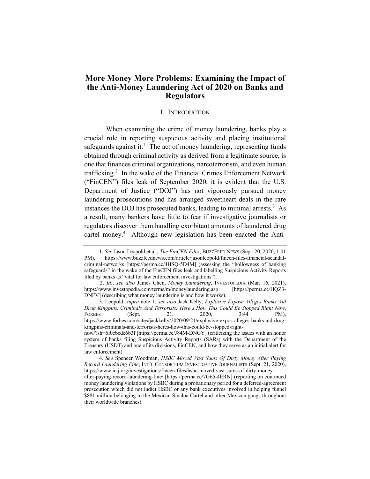# **More Money More Problems: Examining the Impact of the Anti-Money Laundering Act of 2020 on Banks and Regulators**

#### I. INTRODUCTION

When examining the crime of money laundering, banks play a crucial role in reporting suspicious activity and placing institutional safeguards against it.<sup>1</sup> The act of money laundering, representing funds obtained through criminal activity as derived from a legitimate source, is one that finances criminal organizations, narcoterrorism, and even human trafficking. $2$  In the wake of the Financial Crimes Enforcement Network ("FinCEN") files leak of September 2020, it is evident that the U.S. Department of Justice ("DOJ") has not vigorously pursued money laundering prosecutions and has arranged sweetheart deals in the rare instances the DOJ has prosecuted banks, leading to minimal arrests. $3$  As a result, many bankers have little to fear if investigative journalists or regulators discover them handling exorbitant amounts of laundered drug cartel money.<sup>4</sup> Although new legislation has been enacted–the Anti-

 <sup>1.</sup> *See* Jason Leopold et al., *The FinCEN Files*, BUZZFEED NEWS (Sept. 20, 2020, 1:01 PM), https://www.buzzfeednews.com/article/jasonleopold/fincen-files-financial-scandalcriminal-networks [https://perma.cc/4HSQ-5D4M] (assessing the "hollowness of banking safeguards" in the wake of the FinCEN files leak and labelling Suspicious Activity Reports filed by banks as "vital for law enforcement investigations").

<sup>2.</sup> *Id*.; *see also* James Chen, *Money Laundering*, INVESTOPEDIA (Mar. 16, 2021), https://www.investopedia.com/terms/m/moneylaundering.asp [https://perma.cc/HQZ3- DNFV] (describing what money laundering is and how it works).

 <sup>3.</sup> Leopold, *supra* note 1*; see also* Jack Kelly, *Explosive Exposé Alleges Banks Aid Drug Kingpins, Criminals And Terrorists: Here's How This Could Be Stopped Right Now*, FORBES (Sept. 21, 2020, 3:44 PM), https://www.forbes.com/sites/jackkelly/2020/09/21/explosive-expos-alleges-banks-aid-drugkingpins-criminals-and-terrorists-heres-how-this-could-be-stopped-right-

now/?sh=6f0cbcde6b3f [https://perma.cc/J84M-DNGY] (criticizing the issues with an honor system of banks filing Suspicious Activity Reports (SARs) with the Department of the Treasury (USDT) and one of its divisions, FinCEN, and how they serve as an initial alert for law enforcement).

 <sup>4.</sup> *See* Spencer Woodman, *HSBC Moved Vast Sums Of Dirty Money After Paying Record Laundering Fine*, INT'L CONSORTIUM INVESTIGATIVE JOURNALISTS (Sept. 21, 2020), https://www.icij.org/investigations/fincen-files/hsbc-moved-vast-sums-of-dirty-money-

after-paying-record-laundering-fine/ [https://perma.cc/7G65-4ERN] (reporting on continued money laundering violations by HSBC during a probationary period for a deferred-agreement prosecution which did not indict HSBC or any bank executives involved in helping funnel \$881 million belonging to the Mexican Sinaloa Cartel and other Mexican gangs throughout their worldwide branches).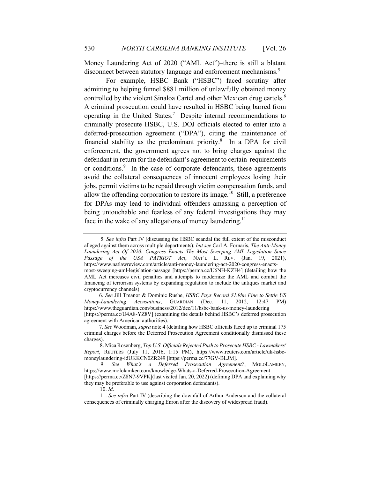Money Laundering Act of 2020 ("AML Act")–there is still a blatant disconnect between statutory language and enforcement mechanisms.<sup>5</sup>

For example, HSBC Bank ("HSBC") faced scrutiny after admitting to helping funnel \$881 million of unlawfully obtained money controlled by the violent Sinaloa Cartel and other Mexican drug cartels.<sup>6</sup> A criminal prosecution could have resulted in HSBC being barred from operating in the United States.<sup>7</sup> Despite internal recommendations to criminally prosecute HSBC, U.S. DOJ officials elected to enter into a deferred-prosecution agreement ("DPA"), citing the maintenance of financial stability as the predominant priority. $8$  In a DPA for civil enforcement, the government agrees not to bring charges against the defendant in return for the defendant's agreement to certain requirements or conditions.<sup>9</sup> In the case of corporate defendants, these agreements avoid the collateral consequences of innocent employees losing their jobs, permit victims to be repaid through victim compensation funds, and allow the offending corporation to restore its image.<sup>10</sup> Still, a preference for DPAs may lead to individual offenders amassing a perception of being untouchable and fearless of any federal investigations they may face in the wake of any allegations of money laundering.<sup>11</sup>

 6. *See* Jill Treanor & Dominic Rushe, *HSBC Pays Record \$1.9bn Fine to Settle US Money-Laundering Accusations*, GUARDIAN (Dec. 11, 2012, 12:47 PM) https://www.theguardian.com/business/2012/dec/11/hsbc-bank-us-money-laundering [https://perma.cc/U4A8-YZ8V] (examining the details behind HSBC's deferred prosecution agreement with American authorities).

 <sup>5.</sup> *See infra* Part IV (discussing the HSBC scandal the full extent of the misconduct alleged against them across multiple departments); *but see* Carl A. Fornaris, *The Anti-Money Laundering Act Of 2020: Congress Enacts The Most Sweeping AML Legislation Since Passage of the USA PATRIOT Act*, NAT'L L. REV. (Jan. 19, 2021), https://www.natlawreview.com/article/anti-money-laundering-act-2020-congress-enactsmost-sweeping-aml-legislation-passage [https://perma.cc/U6NH-KZH4] (detailing how the AML Act increases civil penalties and attempts to modernize the AML and combat the financing of terrorism systems by expanding regulation to include the antiques market and cryptocurrency channels).

 <sup>7.</sup> *See* Woodman, *supra* note 4 (detailing how HSBC officials faced up to criminal 175 criminal charges before the Deferred Prosecution Agreement conditionally dismissed these charges).

<sup>8.</sup> Mica Rosenberg, *Top U.S. Officials Rejected Push to Prosecute HSBC - Lawmakers' Report*, REUTERS (July 11, 2016, 1:15 PM), https://www.reuters.com/article/uk-hsbcmoneylaundering-idUKKCN0ZR249 [https://perma.cc/77GV-BLJM].

 <sup>9.</sup> *See What's a Deferred Prosecution Agreement?*, MOLOLAMKEN, https://www.mololamken.com/knowledge-Whats-a-Deferred-Prosecution-Agreement [https://perma.cc/Z8N7-9VPK](last visited Jan. 20, 2022) (defining DPA and explaining why they may be preferable to use against corporation defendants).

<sup>10.</sup> *Id*.

<sup>11.</sup> *See infra* Part IV (describing the downfall of Arthur Anderson and the collateral consequences of criminally charging Enron after the discovery of widespread fraud).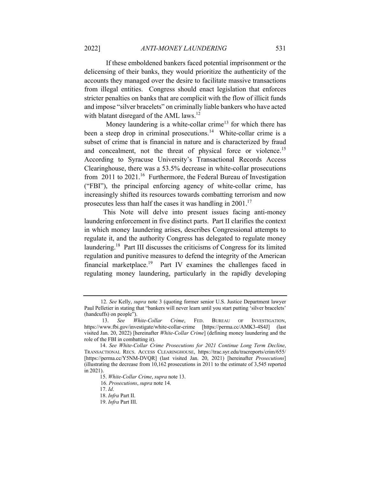If these emboldened bankers faced potential imprisonment or the delicensing of their banks, they would prioritize the authenticity of the accounts they managed over the desire to facilitate massive transactions from illegal entities. Congress should enact legislation that enforces stricter penalties on banks that are complicit with the flow of illicit funds and impose "silver bracelets" on criminally liable bankers who have acted with blatant disregard of the AML laws.<sup>12</sup>

Money laundering is a white-collar crime<sup>13</sup> for which there has been a steep drop in criminal prosecutions.<sup>14</sup> White-collar crime is a subset of crime that is financial in nature and is characterized by fraud and concealment, not the threat of physical force or violence.<sup>15</sup> According to Syracuse University's Transactional Records Access Clearinghouse, there was a 53.5% decrease in white-collar prosecutions from 2011 to 2021.<sup>16</sup> Furthermore, the Federal Bureau of Investigation ("FBI"), the principal enforcing agency of white-collar crime, has increasingly shifted its resources towards combatting terrorism and now prosecutes less than half the cases it was handling in  $2001$ .<sup>17</sup>

 This Note will delve into present issues facing anti-money laundering enforcement in five distinct parts. Part II clarifies the context in which money laundering arises, describes Congressional attempts to regulate it, and the authority Congress has delegated to regulate money laundering.18 Part III discusses the criticisms of Congress for its limited regulation and punitive measures to defend the integrity of the American financial marketplace.<sup>19</sup> Part IV examines the challenges faced in regulating money laundering, particularly in the rapidly developing

 <sup>12.</sup> *See* Kelly, *supra* note 3 (quoting former senior U.S. Justice Department lawyer Paul Pelletier in stating that "bankers will never learn until you start putting 'silver bracelets' (handcuffs) on people").

 <sup>13.</sup> *See White-Collar Crime*, FED. BUREAU OF INVESTIGATION, https://www.fbi.gov/investigate/white-collar-crime [https://perma.cc/AMK3-4S4J] (last visited Jan. 20, 2022) [hereinafter *White-Collar Crime*] (defining money laundering and the role of the FBI in combatting it).

<sup>14.</sup> *See White-Collar Crime Prosecutions for 2021 Continue Long Term Decline*, TRANSACTIONAL RECS. ACCESS CLEARINGHOUSE, https://trac.syr.edu/tracreports/crim/655/ [https://perma.cc/Y5NM-DVQR] (last visited Jan. 20, 2021) [hereinafter *Prosecutions*] (illustrating the decrease from 10,162 prosecutions in 2011 to the estimate of 3,545 reported in 2021).

<sup>15.</sup> *White-Collar Crime*, *supra* note 13.

 <sup>16.</sup> *Prosecutions*, *supra* note 14.

<sup>17.</sup> *Id*.

<sup>18.</sup> *Infra* Part II.

<sup>19.</sup> *Infra* Part III.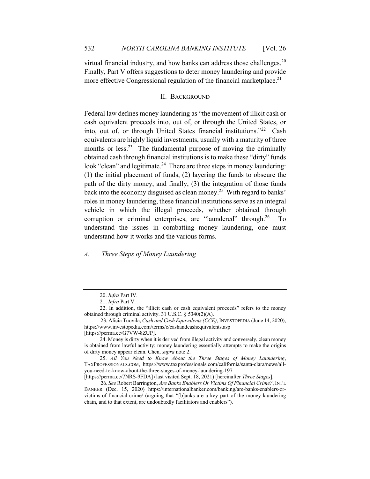virtual financial industry, and how banks can address those challenges.<sup>20</sup> Finally, Part V offers suggestions to deter money laundering and provide more effective Congressional regulation of the financial marketplace.<sup>21</sup>

## II. BACKGROUND

Federal law defines money laundering as "the movement of illicit cash or cash equivalent proceeds into, out of, or through the United States, or into, out of, or through United States financial institutions."22 Cash equivalents are highly liquid investments, usually with a maturity of three months or less.<sup>23</sup> The fundamental purpose of moving the criminally obtained cash through financial institutions is to make these "dirty" funds look "clean" and legitimate.<sup>24</sup> There are three steps in money laundering: (1) the initial placement of funds, (2) layering the funds to obscure the path of the dirty money, and finally, (3) the integration of those funds back into the economy disguised as clean money.<sup>25</sup> With regard to banks' roles in money laundering, these financial institutions serve as an integral vehicle in which the illegal proceeds, whether obtained through corruption or criminal enterprises, are "laundered" through.<sup>26</sup> To understand the issues in combatting money laundering, one must understand how it works and the various forms.

#### *A. Three Steps of Money Laundering*

<sup>20.</sup> *Infra* Part IV.

<sup>21.</sup> *Infra* Part V.

<sup>22.</sup> In addition, the "illicit cash or cash equivalent proceeds" refers to the money obtained through criminal activity. 31 U.S.C. § 5340(2)(A).

 <sup>23.</sup> Alicia Tuovila, *Cash and Cash Equivalents (CCE)*, INVESTOPEDIA (June 14, 2020), https://www.investopedia.com/terms/c/cashandcashequivalents.asp [https://perma.cc/G7VW-8ZUP].

<sup>24.</sup> Money is dirty when it is derived from illegal activity and conversely, clean money is obtained from lawful activity; money laundering essentially attempts to make the origins of dirty money appear clean. Chen, *supra* note 2.

<sup>25.</sup> *All You Need to Know About the Three Stages of Money Laundering*, TAXPROFESSIONALS.COM, https://www.taxprofessionals.com/california/santa-clara/news/allyou-need-to-know-about-the-three-stages-of-money-laundering-197

<sup>[</sup>https://perma.cc/7NRS-9FDA] (last visited Sept. 18, 2021) [hereinafter *Three Stages*].

 <sup>26.</sup> *See* Robert Barrington, *Are Banks Enablers Or Victims Of Financial Crime?*, INT'L BANKER (Dec. 15, 2020) https://internationalbanker.com/banking/are-banks-enablers-orvictims-of-financial-crime/ (arguing that "[b]anks are a key part of the money-laundering chain, and to that extent, are undoubtedly facilitators and enablers").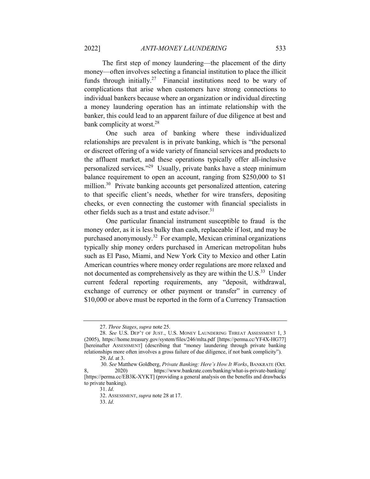The first step of money laundering—the placement of the dirty money—often involves selecting a financial institution to place the illicit funds through initially.<sup>27</sup> Financial institutions need to be wary of complications that arise when customers have strong connections to individual bankers because where an organization or individual directing a money laundering operation has an intimate relationship with the banker, this could lead to an apparent failure of due diligence at best and bank complicity at worst.<sup>28</sup>

One such area of banking where these individualized relationships are prevalent is in private banking, which is "the personal or discreet offering of a wide variety of financial services and products to the affluent market, and these operations typically offer all-inclusive personalized services."29 Usually, private banks have a steep minimum balance requirement to open an account, ranging from \$250,000 to \$1 million.<sup>30</sup> Private banking accounts get personalized attention, catering to that specific client's needs, whether for wire transfers, depositing checks, or even connecting the customer with financial specialists in other fields such as a trust and estate advisor.<sup>31</sup>

One particular financial instrument susceptible to fraud is the money order, as it is less bulky than cash, replaceable if lost, and may be purchased anonymously.32 For example, Mexican criminal organizations typically ship money orders purchased in American metropolitan hubs such as El Paso, Miami, and New York City to Mexico and other Latin American countries where money order regulations are more relaxed and not documented as comprehensively as they are within the U.S.<sup>33</sup> Under current federal reporting requirements, any "deposit, withdrawal, exchange of currency or other payment or transfer" in currency of \$10,000 or above must be reported in the form of a Currency Transaction

<sup>27.</sup> *Three Stages*, *supra* note 25.

<sup>28.</sup> *See* U.S. DEP'T OF JUST., U.S. MONEY LAUNDERING THREAT ASSESSMENT 1, 3 (2005), https://home.treasury.gov/system/files/246/mlta.pdf [https://perma.cc/YF4X-HG77] [hereinafter ASSESSMENT] (describing that "money laundering through private banking relationships more often involves a gross failure of due diligence, if not bank complicity").

<sup>29.</sup> *Id*. at 3.

 <sup>30.</sup> *See* Matthew Goldberg, *Private Banking: Here's How It Works*, BANKRATE (Oct. 8, 2020) https://www.bankrate.com/banking/what-is-private-banking/ [https://perma.cc/EB3K-XYKT] (providing a general analysis on the benefits and drawbacks to private banking).

<sup>31.</sup> *Id*.

<sup>32.</sup> ASSESSMENT, *supra* note 28 at 17.

<sup>33.</sup> *Id*.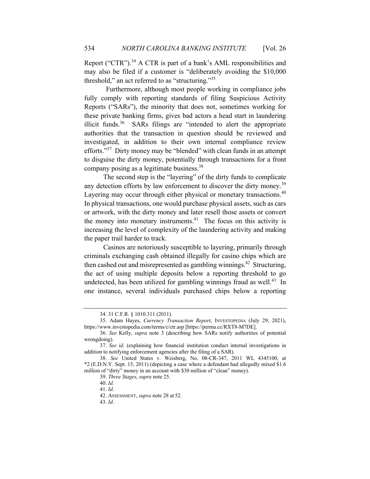Report ("CTR").<sup>34</sup> A CTR is part of a bank's AML responsibilities and may also be filed if a customer is "deliberately avoiding the \$10,000 threshold," an act referred to as "structuring." $35$ 

Furthermore, although most people working in compliance jobs fully comply with reporting standards of filing Suspicious Activity Reports ("SARs"), the minority that does not, sometimes working for these private banking firms, gives bad actors a head start in laundering illicit funds.<sup>36</sup> SARs filings are "intended to alert the appropriate authorities that the transaction in question should be reviewed and investigated, in addition to their own internal compliance review efforts."<sup>37</sup> Dirty money may be "blended" with clean funds in an attempt to disguise the dirty money, potentially through transactions for a front company posing as a legitimate business.38

 The second step is the "layering" of the dirty funds to complicate any detection efforts by law enforcement to discover the dirty money.<sup>39</sup> Layering may occur through either physical or monetary transactions.<sup>40</sup> In physical transactions, one would purchase physical assets, such as cars or artwork, with the dirty money and later resell those assets or convert the money into monetary instruments. $41$  The focus on this activity is increasing the level of complexity of the laundering activity and making the paper trail harder to track.

 Casinos are notoriously susceptible to layering, primarily through criminals exchanging cash obtained illegally for casino chips which are then cashed out and misrepresented as gambling winnings.<sup>42</sup> Structuring, the act of using multiple deposits below a reporting threshold to go undetected, has been utilized for gambling winnings fraud as well.<sup>43</sup> In one instance, several individuals purchased chips below a reporting

<sup>34. 31</sup> C.F.R. § 1010.311 (2011).

<sup>35.</sup> Adam Hayes, *Currency Transaction Report*, INVESTOPEDIA (July 29, 2021), https://www.investopedia.com/terms/c/ctr.asp [https://perma.cc/RXT8-M7DE].

<sup>36.</sup> *See* Kelly, *supra* note 3 (describing how SARs notify authorities of potential wrongdoing).

<sup>37.</sup> *See id*. (explaining how financial institution conduct internal investigations in addition to notifying enforcement agencies after the filing of a SAR)*.*

<sup>38.</sup> *See* United States v. Weisberg, No. 08-CR-347, 2011 WL 4345100, at \*2 (E.D.N.Y. Sept. 15, 2011) (depicting a case where a defendant had allegedly mixed \$1.6 million of "dirty" money in an account with \$30 million of "clean" money).

<sup>39.</sup> *Three Stages*, *supra* note 25.

<sup>40.</sup> *Id.*

<sup>41.</sup> *Id*.

<sup>42.</sup> ASSESSMENT, *supra* note 28 at 52.

<sup>43.</sup> *Id*.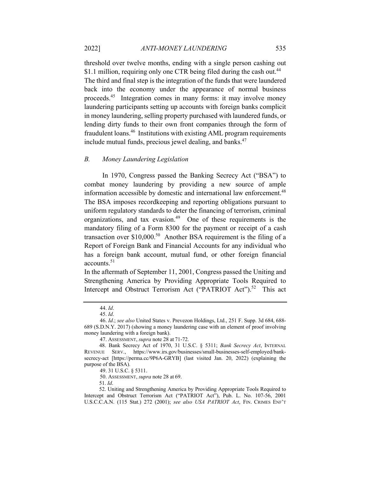threshold over twelve months, ending with a single person cashing out \$1.1 million, requiring only one CTR being filed during the cash out.<sup>44</sup> The third and final step is the integration of the funds that were laundered back into the economy under the appearance of normal business proceeds.45 Integration comes in many forms: it may involve money laundering participants setting up accounts with foreign banks complicit in money laundering, selling property purchased with laundered funds, or lending dirty funds to their own front companies through the form of fraudulent loans.46 Institutions with existing AML program requirements include mutual funds, precious jewel dealing, and banks.<sup>47</sup>

#### *B. Money Laundering Legislation*

 In 1970, Congress passed the Banking Secrecy Act ("BSA") to combat money laundering by providing a new source of ample information accessible by domestic and international law enforcement.<sup>48</sup> The BSA imposes recordkeeping and reporting obligations pursuant to uniform regulatory standards to deter the financing of terrorism, criminal organizations, and tax evasion.<sup>49</sup> One of these requirements is the mandatory filing of a Form 8300 for the payment or receipt of a cash transaction over  $$10,000$ .<sup>50</sup> Another BSA requirement is the filing of a Report of Foreign Bank and Financial Accounts for any individual who has a foreign bank account, mutual fund, or other foreign financial accounts.<sup>51</sup>

In the aftermath of September 11, 2001, Congress passed the Uniting and Strengthening America by Providing Appropriate Tools Required to Intercept and Obstruct Terrorism Act ("PATRIOT Act").<sup>52</sup> This act

<sup>44.</sup> *Id*.

<sup>45.</sup> *Id*.

<sup>46.</sup> *Id*.; *see also* United States v. Prevezon Holdings, Ltd., 251 F. Supp. 3d 684, 688- 689 (S.D.N.Y. 2017) (showing a money laundering case with an element of proof involving money laundering with a foreign bank).

<sup>47.</sup> ASSESSMENT, *supra* note 28 at 71-72.

 <sup>48.</sup> Bank Secrecy Act of 1970, 31 U.S.C. § 5311; *Bank Secrecy Act*, INTERNAL REVENUE SERV., https://www.irs.gov/businesses/small-businesses-self-employed/banksecrecy-act [https://perma.cc/9P6A-GRYB] (last visited Jan. 20, 2022) (explaining the purpose of the BSA).

<sup>49. 31</sup> U.S.C. § 5311.

<sup>50.</sup> ASSESSMENT, *supra* note 28 at 69.

 <sup>51.</sup> *Id*.

 <sup>52.</sup> Uniting and Strengthening America by Providing Appropriate Tools Required to Intercept and Obstruct Terrorism Act ("PATRIOT Act"), Pub. L. No. 107-56, 2001 U.S.C.C.A.N. (115 Stat.) 272 (2001); see also USA PATRIOT Act, FIN. CRIMES ENF'T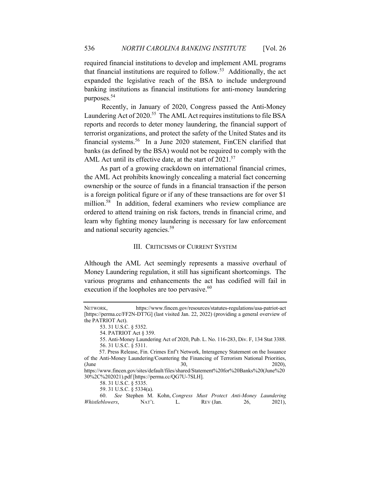required financial institutions to develop and implement AML programs that financial institutions are required to follow.<sup>53</sup> Additionally, the act expanded the legislative reach of the BSA to include underground banking institutions as financial institutions for anti-money laundering purposes.54

 Recently, in January of 2020, Congress passed the Anti-Money Laundering Act of 2020.<sup>55</sup> The AML Act requires institutions to file BSA reports and records to deter money laundering, the financial support of terrorist organizations, and protect the safety of the United States and its financial systems.<sup>56</sup> In a June 2020 statement, FinCEN clarified that banks (as defined by the BSA) would not be required to comply with the AML Act until its effective date, at the start of  $2021$ .<sup>57</sup>

 As part of a growing crackdown on international financial crimes, the AML Act prohibits knowingly concealing a material fact concerning ownership or the source of funds in a financial transaction if the person is a foreign political figure or if any of these transactions are for over \$1 million.<sup>58</sup> In addition, federal examiners who review compliance are ordered to attend training on risk factors, trends in financial crime, and learn why fighting money laundering is necessary for law enforcement and national security agencies.<sup>59</sup>

#### III. CRITICISMS OF CURRENT SYSTEM

Although the AML Act seemingly represents a massive overhaul of Money Laundering regulation, it still has significant shortcomings. The various programs and enhancements the act has codified will fail in execution if the loopholes are too pervasive.<sup>60</sup>

NETWORK, https://www.fincen.gov/resources/statutes-regulations/usa-patriot-act [https://perma.cc/FF2N-DT7G] (last visited Jan. 22, 2022) (providing a general overview of the PATRIOT Act).

<sup>53. 31</sup> U.S.C. § 5352.

<sup>54.</sup> PATRIOT Act § 359.

<sup>55.</sup> Anti-Money Laundering Act of 2020, Pub. L. No. 116-283, Div. F, 134 Stat 3388. 56. 31 U.S.C. § 5311.

 <sup>57.</sup> Press Release, Fin. Crimes Enf't Network, Interagency Statement on the Issuance of the Anti-Money Laundering/Countering the Financing of Terrorism National Priorities, (June 30, 2020), https://www.fincen.gov/sites/default/files/shared/Statement%20for%20Banks%20(June%20

<sup>30%2</sup>C%202021).pdf [https://perma.cc/QG7U-7SLH].

<sup>58. 31</sup> U.S.C. § 5335.

<sup>59. 31</sup> U.S.C. § 5334(a).

<sup>60.</sup> *See* Stephen M. Kohn, *Congress Must Protect Anti-Money Laundering Whistleblowers*, NAT'L L. REV (Jan. 26, 2021),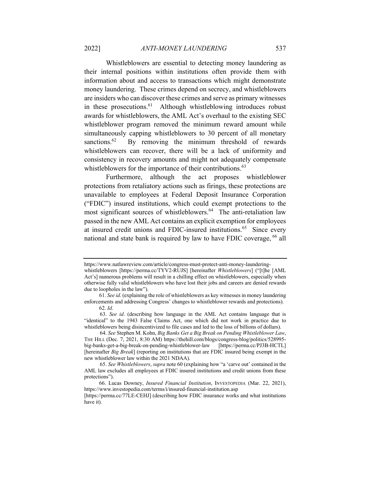Whistleblowers are essential to detecting money laundering as their internal positions within institutions often provide them with information about and access to transactions which might demonstrate money laundering. These crimes depend on secrecy, and whistleblowers are insiders who can discover these crimes and serve as primary witnesses

in these prosecutions. $61$  Although whistleblowing introduces robust awards for whistleblowers, the AML Act's overhaul to the existing SEC whistleblower program removed the minimum reward amount while simultaneously capping whistleblowers to 30 percent of all monetary sanctions. $62$  By removing the minimum threshold of rewards whistleblowers can recover, there will be a lack of uniformity and consistency in recovery amounts and might not adequately compensate whistleblowers for the importance of their contributions.<sup>63</sup>

Furthermore, although the act proposes whistleblower protections from retaliatory actions such as firings, these protections are unavailable to employees at Federal Deposit Insurance Corporation ("FDIC") insured institutions, which could exempt protections to the most significant sources of whistleblowers.<sup>64</sup> The anti-retaliation law passed in the new AML Act contains an explicit exemption for employees at insured credit unions and FDIC-insured institutions.<sup>65</sup> Since every national and state bank is required by law to have FDIC coverage, <sup>66</sup> all

https://www.natlawreview.com/article/congress-must-protect-anti-money-launderingwhistleblowers [https://perma.cc/TYV2-RUJS] [hereinafter *Whistleblowers*] ("[t]he [AML Act's] numerous problems will result in a chilling effect on whistleblowers, especially when otherwise fully valid whistleblowers who have lost their jobs and careers are denied rewards due to loopholes in the law").

 <sup>61.</sup> *See id*. (explaining the role of whistleblowers as key witnesses in money laundering enforcements and addressing Congress' changes to whistleblower rewards and protections).

 <sup>62.</sup> *Id*.

<sup>63.</sup> *See id*. (describing how language in the AML Act contains language that is "identical" to the 1943 False Claims Act, one which did not work in practice due to whistleblowers being disincentivized to file cases and led to the loss of billions of dollars).

<sup>64.</sup> *See* Stephen M. Kohn, *Big Banks Get a Big Break on Pending Whistleblower Law*, THE HILL (Dec. 7, 2021, 8:30 AM) https://thehill.com/blogs/congress-blog/politics/528995 big-banks-get-a-big-break-on-pending-whistleblower-law [https://perma.cc/PJ3B-HCTL] [hereinafter *Big Break*] (reporting on institutions that are FDIC insured being exempt in the new whistleblower law within the 2021 NDAA).

<sup>65.</sup> *See Whistleblowers*, *supra* note 60 (explaining how "a 'carve out' contained in the AML law excludes all employees at FDIC insured institutions and credit unions from these protections").

 <sup>66.</sup> Lucas Downey, *Insured Financial Institution*, INVESTOPEDIA (Mar. 22, 2021), https://www.investopedia.com/terms/i/insured-financial-institution.asp

<sup>[</sup>https://perma.cc/77LE-CEHJ] (describing how FDIC insurance works and what institutions have it).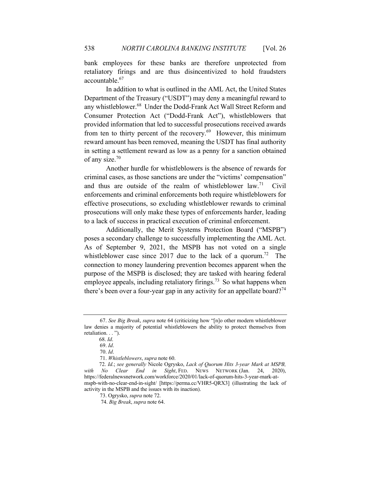bank employees for these banks are therefore unprotected from retaliatory firings and are thus disincentivized to hold fraudsters accountable.<sup>67</sup>

In addition to what is outlined in the AML Act, the United States Department of the Treasury ("USDT") may deny a meaningful reward to any whistleblower.<sup>68</sup> Under the Dodd-Frank Act Wall Street Reform and Consumer Protection Act ("Dodd-Frank Act"), whistleblowers that provided information that led to successful prosecutions received awards from ten to thirty percent of the recovery.<sup>69</sup> However, this minimum reward amount has been removed, meaning the USDT has final authority in setting a settlement reward as low as a penny for a sanction obtained of any size.<sup>70</sup>

Another hurdle for whistleblowers is the absence of rewards for criminal cases, as those sanctions are under the "victims' compensation" and thus are outside of the realm of whistleblower law.<sup>71</sup> Civil enforcements and criminal enforcements both require whistleblowers for effective prosecutions, so excluding whistleblower rewards to criminal prosecutions will only make these types of enforcements harder, leading to a lack of success in practical execution of criminal enforcement.

Additionally, the Merit Systems Protection Board ("MSPB") poses a secondary challenge to successfully implementing the AML Act. As of September 9, 2021, the MSPB has not voted on a single whistleblower case since 2017 due to the lack of a quorum.<sup>72</sup> The connection to money laundering prevention becomes apparent when the purpose of the MSPB is disclosed; they are tasked with hearing federal employee appeals, including retaliatory firings.<sup>73</sup> So what happens when there's been over a four-year gap in any activity for an appellate board?<sup>74</sup>

<sup>67.</sup> *See Big Break*, *supra* note 64 (criticizing how "[n]o other modern whistleblower law denies a majority of potential whistleblowers the ability to protect themselves from retaliation. . . ").

 <sup>68.</sup> *Id*.

<sup>69.</sup> *Id*.

<sup>70.</sup> *Id*.

<sup>71.</sup> *Whistleblowers*, *supra* note 60.

 <sup>72.</sup> *Id*.; *see generally* Nicole Ogrysko, *Lack of Quorum Hits 3-year Mark at MSPB, with No Clear End in Sight*, FED. NEWS NETWORK (Jan. 24, 2020), https://federalnewsnetwork.com/workforce/2020/01/lack-of-quorum-hits-3-year-mark-atmspb-with-no-clear-end-in-sight/ [https://perma.cc/VHR5-QRX3] (illustrating the lack of activity in the MSPB and the issues with its inaction).

<sup>73.</sup> Ogrysko, *supra* note 72.

 <sup>74.</sup> *Big Break*, *supra* note 64.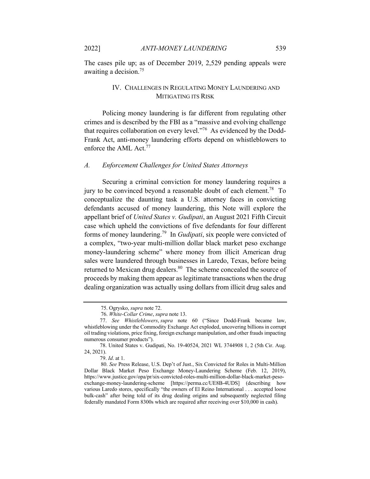The cases pile up; as of December 2019, 2,529 pending appeals were awaiting a decision.<sup>75</sup>

# IV. CHALLENGES IN REGULATING MONEY LAUNDERING AND MITIGATING ITS RISK

 Policing money laundering is far different from regulating other crimes and is described by the FBI as a "massive and evolving challenge that requires collaboration on every level."76 As evidenced by the Dodd-Frank Act, anti-money laundering efforts depend on whistleblowers to enforce the AML Act.<sup>77</sup>

#### *A. Enforcement Challenges for United States Attorneys*

 Securing a criminal conviction for money laundering requires a jury to be convinced beyond a reasonable doubt of each element.<sup>78</sup> To conceptualize the daunting task a U.S. attorney faces in convicting defendants accused of money laundering, this Note will explore the appellant brief of *United States v. Gudipati*, an August 2021 Fifth Circuit case which upheld the convictions of five defendants for four different forms of money laundering.79 In *Gudipati*, six people were convicted of a complex, "two-year multi-million dollar black market peso exchange money-laundering scheme" where money from illicit American drug sales were laundered through businesses in Laredo, Texas, before being returned to Mexican drug dealers.<sup>80</sup> The scheme concealed the source of proceeds by making them appear as legitimate transactions when the drug dealing organization was actually using dollars from illicit drug sales and

 <sup>75.</sup> Ogrysko, *supra* note 72.

 <sup>76.</sup> *White-Collar Crime*, *supra* note 13.

<sup>77.</sup> *See Whistleblowers*, *supra* note 60 ("Since Dodd-Frank became law, whistleblowing under the Commodity Exchange Act exploded, uncovering billions in corrupt oil trading violations, price fixing, foreign exchange manipulation, and other frauds impacting numerous consumer products").

<sup>78.</sup> United States v. Gudipati, No. 19-40524, 2021 WL 3744908 1, 2 (5th Cir. Aug. 24, 2021).

<sup>79.</sup> *Id*. at 1.

 <sup>80.</sup> *See* Press Release, U.S. Dep't of Just., Six Convicted for Roles in Multi-Million Dollar Black Market Peso Exchange Money-Laundering Scheme (Feb. 12, 2019), https://www.justice.gov/opa/pr/six-convicted-roles-multi-million-dollar-black-market-pesoexchange-money-laundering-scheme [https://perma.cc/UE8B-4UDS] (describing how various Laredo stores, specifically "the owners of El Reino International . . . accepted loose bulk-cash" after being told of its drug dealing origins and subsequently neglected filing federally mandated Form 8300s which are required after receiving over \$10,000 in cash).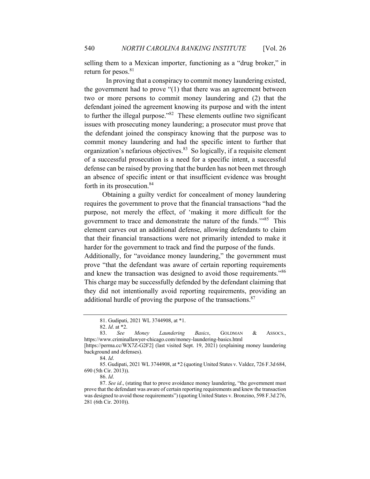selling them to a Mexican importer, functioning as a "drug broker," in return for pesos. $81$ 

In proving that a conspiracy to commit money laundering existed, the government had to prove "(1) that there was an agreement between two or more persons to commit money laundering and (2) that the defendant joined the agreement knowing its purpose and with the intent to further the illegal purpose."<sup>82</sup> These elements outline two significant issues with prosecuting money laundering; a prosecutor must prove that the defendant joined the conspiracy knowing that the purpose was to commit money laundering and had the specific intent to further that organization's nefarious objectives.<sup>83</sup> So logically, if a requisite element of a successful prosecution is a need for a specific intent, a successful defense can be raised by proving that the burden has not been met through an absence of specific intent or that insufficient evidence was brought forth in its prosecution.<sup>84</sup>

 Obtaining a guilty verdict for concealment of money laundering requires the government to prove that the financial transactions "had the purpose, not merely the effect, of 'making it more difficult for the government to trace and demonstrate the nature of the funds.'"85 This element carves out an additional defense, allowing defendants to claim that their financial transactions were not primarily intended to make it harder for the government to track and find the purpose of the funds.

Additionally, for "avoidance money laundering," the government must prove "that the defendant was aware of certain reporting requirements and knew the transaction was designed to avoid those requirements."<sup>86</sup> This charge may be successfully defended by the defendant claiming that they did not intentionally avoid reporting requirements, providing an additional hurdle of proving the purpose of the transactions.<sup>87</sup>

<sup>81.</sup> Gudipati, 2021 WL 3744908, at \*1.

<sup>82.</sup> *Id*. at \*2.

<sup>83.</sup> *See Money Laundering Basics*, GOLDMAN & ASSOCS., https://www.criminallawyer-chicago.com/money-laundering-basics.html

<sup>[</sup>https://perma.cc/WX7Z-G2F2] (last visited Sept. 19, 2021) (explaining money laundering background and defenses).

<sup>84.</sup> *Id*.

<sup>85.</sup> Gudipati, 2021 WL 3744908, at \*2 (quoting United States v. Valdez, 726 F.3d 684, 690 (5th Cir. 2013)).

<sup>86.</sup> *Id*.

<sup>87.</sup> *See id*., (stating that to prove avoidance money laundering, "the government must prove that the defendant was aware of certain reporting requirements and knew the transaction was designed to avoid those requirements") (quoting United States v. Bronzino, 598 F.3d 276, 281 (6th Cir. 2010)).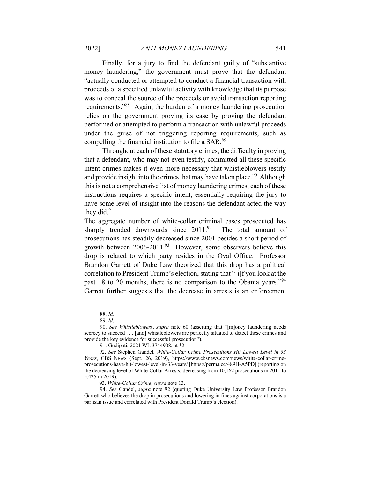Finally, for a jury to find the defendant guilty of "substantive money laundering," the government must prove that the defendant "actually conducted or attempted to conduct a financial transaction with proceeds of a specified unlawful activity with knowledge that its purpose was to conceal the source of the proceeds or avoid transaction reporting requirements."88 Again, the burden of a money laundering prosecution relies on the government proving its case by proving the defendant performed or attempted to perform a transaction with unlawful proceeds under the guise of not triggering reporting requirements, such as compelling the financial institution to file a SAR.<sup>89</sup>

 Throughout each of these statutory crimes, the difficulty in proving that a defendant, who may not even testify, committed all these specific intent crimes makes it even more necessary that whistleblowers testify and provide insight into the crimes that may have taken place.<sup>90</sup> Although this is not a comprehensive list of money laundering crimes, each of these instructions requires a specific intent, essentially requiring the jury to have some level of insight into the reasons the defendant acted the way they did. $91$ 

The aggregate number of white-collar criminal cases prosecuted has sharply trended downwards since  $2011^{92}$  The total amount of prosecutions has steadily decreased since 2001 besides a short period of growth between  $2006-2011.^{93}$  However, some observers believe this drop is related to which party resides in the Oval Office. Professor Brandon Garrett of Duke Law theorized that this drop has a political correlation to President Trump's election, stating that "[i]f you look at the past 18 to 20 months, there is no comparison to the Obama years."<sup>94</sup> Garrett further suggests that the decrease in arrests is an enforcement

93. *White-Collar Crime*, *supra* note 13.

94. *See* Gandel, *supra* note 92 (quoting Duke University Law Professor Brandon Garrett who believes the drop in prosecutions and lowering in fines against corporations is a partisan issue and correlated with President Donald Trump's election).

<sup>88.</sup> *Id*.

<sup>89.</sup> *Id*.

<sup>90.</sup> *See Whistleblowers*, *supra* note 60 (asserting that "[m]oney laundering needs secrecy to succeed . . . [and] whistleblowers are perfectly situated to detect these crimes and provide the key evidence for successful prosecution").

<sup>91.</sup> Gudipati, 2021 WL 3744908, at \*2.

 <sup>92.</sup> *See* Stephen Gandel, *White-Collar Crime Prosecutions Hit Lowest Level in 33 Years*, CBS NEWS (Sept. 26, 2019), https://www.cbsnews.com/news/white-collar-crimeprosecutions-have-hit-lowest-level-in-33-years/ [https://perma.cc/489H-A5PD] (reporting on the decreasing level of White-Collar Arrests, decreasing from 10,162 prosecutions in 2011 to 5,425 in 2019).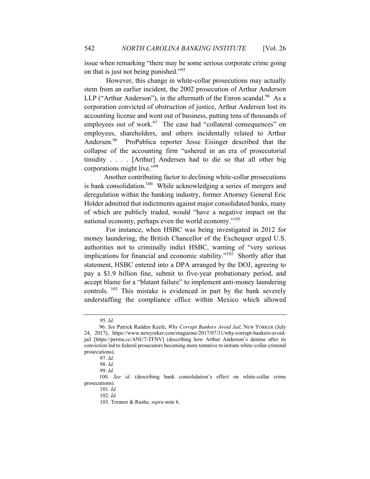issue when remarking "there may be some serious corporate crime going on that is just not being punished."<sup>95</sup>

However, this change in white-collar prosecutions may actually stem from an earlier incident, the 2002 prosecution of Arthur Anderson LLP ("Arthur Anderson"), in the aftermath of the Enron scandal.<sup>96</sup> As a corporation convicted of obstruction of justice, Arthur Andersen lost its accounting license and went out of business, putting tens of thousands of employees out of work.<sup>97</sup> The case had "collateral consequences" on employees, shareholders, and others incidentally related to Arthur Andersen.<sup>98</sup> ProPublica reporter Jesse Eisinger described that the collapse of the accounting firm "ushered in an era of prosecutorial timidity . . . . [Arthur] Andersen had to die so that all other big corporations might live."99

 Another contributing factor to declining white-collar prosecutions is bank consolidation.<sup>100</sup> While acknowledging a series of mergers and deregulation within the banking industry, former Attorney General Eric Holder admitted that indictments against major consolidated banks, many of which are publicly traded, would "have a negative impact on the national economy, perhaps even the world economy."<sup>101</sup>

For instance, when HSBC was being investigated in 2012 for money laundering, the British Chancellor of the Exchequer urged U.S. authorities not to criminally indict HSBC, warning of "very serious implications for financial and economic stability."<sup>102</sup> Shortly after that statement, HSBC entered into a DPA arranged by the DOJ, agreeing to pay a \$1.9 billion fine, submit to five-year probationary period, and accept blame for a "blatant failure" to implement anti-money laundering controls. <sup>103</sup> This mistake is evidenced in part by the bank severely understaffing the compliance office within Mexico which allowed

<sup>95.</sup> *Id*.

 <sup>96.</sup> *See* Patrick Radden Keefe, *Why Corrupt Bankers Avoid Jail*, NEW YORKER (July 24, 2017), https://www.newyorker.com/magazine/2017/07/31/why-corrupt-bankers-avoidjail [https://perma.cc/ANU7-TFNV] (describing how Arthur Anderson's demise after its conviction led to federal prosecutors becoming more tentative to initiate white-collar criminal prosecutions).

<sup>97.</sup> *Id*.

<sup>98.</sup> *Id*.

<sup>99.</sup> *Id*.

 <sup>100.</sup> *See id*. (describing bank consolidation's effect on white-collar crime prosecutions).

<sup>101.</sup> *Id*.

<sup>102.</sup> *Id*.

<sup>103.</sup> Treanor & Rushe, *supra* note 6.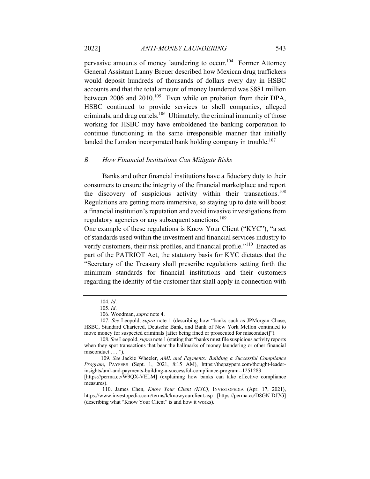pervasive amounts of money laundering to occur.104 Former Attorney General Assistant Lanny Breuer described how Mexican drug traffickers would deposit hundreds of thousands of dollars every day in HSBC accounts and that the total amount of money laundered was \$881 million between 2006 and 2010.<sup>105</sup> Even while on probation from their DPA, HSBC continued to provide services to shell companies, alleged criminals, and drug cartels.<sup>106</sup> Ultimately, the criminal immunity of those working for HSBC may have emboldened the banking corporation to continue functioning in the same irresponsible manner that initially landed the London incorporated bank holding company in trouble.<sup>107</sup>

#### *B. How Financial Institutions Can Mitigate Risks*

 Banks and other financial institutions have a fiduciary duty to their consumers to ensure the integrity of the financial marketplace and report the discovery of suspicious activity within their transactions.<sup>108</sup> Regulations are getting more immersive, so staying up to date will boost a financial institution's reputation and avoid invasive investigations from regulatory agencies or any subsequent sanctions.<sup>109</sup>

One example of these regulations is Know Your Client ("KYC"), "a set of standards used within the investment and financial services industry to verify customers, their risk profiles, and financial profile."<sup>110</sup> Enacted as part of the PATRIOT Act, the statutory basis for KYC dictates that the "Secretary of the Treasury shall prescribe regulations setting forth the minimum standards for financial institutions and their customers regarding the identity of the customer that shall apply in connection with

<sup>104.</sup> *Id*.

<sup>105.</sup> *Id*.

<sup>106.</sup> Woodman, *supra* note 4.

<sup>107.</sup> *See* Leopold, *supra* note 1 (describing how "banks such as JPMorgan Chase, HSBC, Standard Chartered, Deutsche Bank, and Bank of New York Mellon continued to move money for suspected criminals [after being fined or prosecuted for misconduct]").

<sup>108.</sup> *See* Leopold, *supra* note 1 (stating that "banks must file suspicious activity reports when they spot transactions that bear the hallmarks of money laundering or other financial misconduct . . . ").

 <sup>109.</sup> *See* Jackie Wheeler, *AML and Payments: Building a Successful Compliance Program*, PAYPERS (Sept. 1, 2021, 8:15 AM), https://thepaypers.com/thought-leaderinsights/aml-and-payments-building-a-successful-compliance-program--1251283

<sup>[</sup>https://perma.cc/W9QX-VELM] (explaining how banks can take effective compliance measures).

 <sup>110.</sup> James Chen, *Know Your Client (KYC)*, INVESTOPEDIA (Apr. 17, 2021), https://www.investopedia.com/terms/k/knowyourclient.asp [https://perma.cc/D8GN-DJ7G] (describing what "Know Your Client" is and how it works).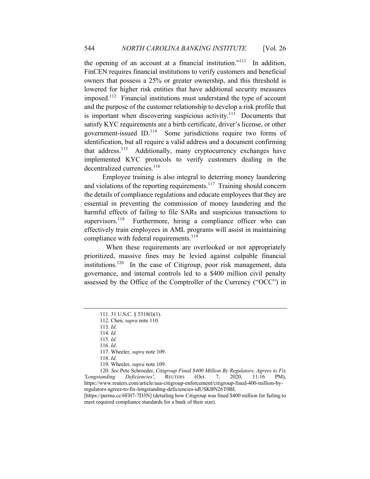the opening of an account at a financial institution."<sup>111</sup> In addition, FinCEN requires financial institutions to verify customers and beneficial owners that possess a 25% or greater ownership, and this threshold is lowered for higher risk entities that have additional security measures imposed.112 Financial institutions must understand the type of account and the purpose of the customer relationship to develop a risk profile that is important when discovering suspicious activity.<sup>113</sup> Documents that satisfy KYC requirements are a birth certificate, driver's license, or other government-issued ID. 114 Some jurisdictions require two forms of identification, but all require a valid address and a document confirming that address.<sup>115</sup> Additionally, many cryptocurrency exchanges have implemented KYC protocols to verify customers dealing in the decentralized currencies.<sup>116</sup>

 Employee training is also integral to deterring money laundering and violations of the reporting requirements.<sup>117</sup> Training should concern the details of compliance regulations and educate employees that they are essential in preventing the commission of money laundering and the harmful effects of failing to file SARs and suspicious transactions to supervisors.<sup>118</sup> Furthermore, hiring a compliance officer who can effectively train employees in AML programs will assist in maintaining compliance with federal requirements.<sup>119</sup>

When these requirements are overlooked or not appropriately prioritized, massive fines may be levied against culpable financial institutions.<sup>120</sup> In the case of Citigroup, poor risk management, data governance, and internal controls led to a \$400 million civil penalty assessed by the Office of the Comptroller of the Currency ("OCC") in

[https://perma.cc/6FH7-7D3N] (detailing how Citigroup was fined \$400 million for failing to meet required compliance standards for a bank of their size).

<sup>111. 31</sup> U.S.C. § 5318(l)(1).

<sup>112.</sup> Chen, *supra* note 110.

<sup>113.</sup> *Id*.

<sup>114.</sup> *Id*.

<sup>115.</sup> *Id*.

<sup>116.</sup> *Id*.

<sup>117.</sup> Wheeler, *supra* note 109.

<sup>118.</sup> *Id*.

<sup>119.</sup> Wheeler, *supra* note 109.

<sup>120.</sup> *See* Pete Schroeder, *Citigroup Fined \$400 Million By Regulators, Agrees to Fix 'Longstanding Deficiencies'*, REUTERS (Oct. 7, 2020, 11:16 PM), https://www.reuters.com/article/usa-citigroup-enforcement/citigroup-fined-400-million-byregulators-agrees-to-fix-longstanding-deficiencies-idUSKBN26T0BL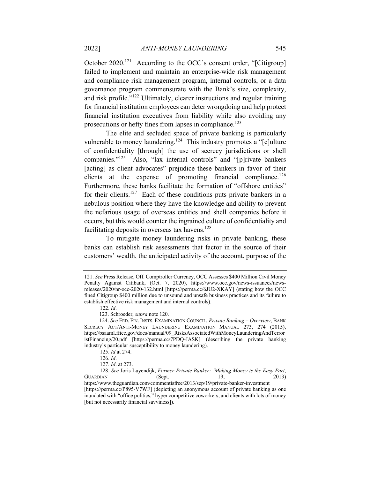October 2020.<sup>121</sup> According to the OCC's consent order, "[Citigroup] failed to implement and maintain an enterprise-wide risk management and compliance risk management program, internal controls, or a data governance program commensurate with the Bank's size, complexity, and risk profile."122 Ultimately, clearer instructions and regular training for financial institution employees can deter wrongdoing and help protect financial institution executives from liability while also avoiding any prosecutions or hefty fines from lapses in compliance.<sup>123</sup>

The elite and secluded space of private banking is particularly vulnerable to money laundering.<sup>124</sup> This industry promotes a "[c]ulture of confidentiality [through] the use of secrecy jurisdictions or shell companies."125 Also, "lax internal controls" and "[p]rivate bankers [acting] as client advocates" prejudice these bankers in favor of their clients at the expense of promoting financial compliance.<sup>126</sup> Furthermore, these banks facilitate the formation of "offshore entities" for their clients.<sup>127</sup> Each of these conditions puts private bankers in a nebulous position where they have the knowledge and ability to prevent the nefarious usage of overseas entities and shell companies before it occurs, but this would counter the ingrained culture of confidentiality and facilitating deposits in overseas tax havens.<sup>128</sup>

To mitigate money laundering risks in private banking, these banks can establish risk assessments that factor in the source of their customers' wealth, the anticipated activity of the account, purpose of the

<sup>121.</sup> *See* Press Release, Off. Comptroller Currency, OCC Assesses \$400 Million Civil Money Penalty Against Citibank, (Oct. 7, 2020), https://www.occ.gov/news-issuances/newsreleases/2020/nr-occ-2020-132.html [https://perma.cc/6JU2-XKAY] (stating how the OCC fined Citigroup \$400 million due to unsound and unsafe business practices and its failure to establish effective risk management and internal controls).

<sup>122.</sup> *Id*.

 <sup>123.</sup> Schroeder, *supra* note 120.

 <sup>124.</sup> *See* FED. FIN. INSTS. EXAMINATION COUNCIL, *Private Banking – Overview*, BANK SECRECY ACT/ANTI-MONEY LAUNDERING EXAMINATION MANUAL 273, 274 (2015), https://bsaaml.ffiec.gov/docs/manual/09\_RisksAssociatedWithMoneyLaunderingAndTerror istFinancing/20.pdf [https://perma.cc/7PDQ-JASK] (describing the private banking industry's particular susceptibility to money laundering).

<sup>125.</sup> *Id* at 274.

<sup>126.</sup> *Id*.

<sup>127.</sup> *Id*. at 273.

<sup>128.</sup> *See* Joris Luyendijk, *Former Private Banker: 'Making Money is the Easy Part*, GUARDIAN (Sept. 19,

https://www.theguardian.com/commentisfree/2013/sep/19/private-banker-investment [https://perma.cc/P895-V7WF] (depicting an anonymous account of private banking as one inundated with "office politics," hyper competitive coworkers, and clients with lots of money [but not necessarily financial savviness]).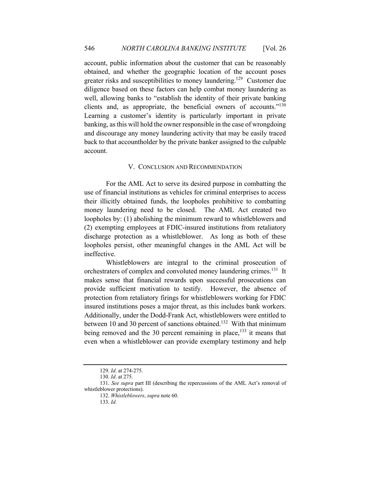account, public information about the customer that can be reasonably obtained, and whether the geographic location of the account poses greater risks and susceptibilities to money laundering.<sup>129</sup> Customer due diligence based on these factors can help combat money laundering as well, allowing banks to "establish the identity of their private banking clients and, as appropriate, the beneficial owners of accounts."<sup>130</sup> Learning a customer's identity is particularly important in private banking, as this will hold the owner responsible in the case of wrongdoing and discourage any money laundering activity that may be easily traced back to that accountholder by the private banker assigned to the culpable account.

### V. CONCLUSION AND RECOMMENDATION

For the AML Act to serve its desired purpose in combatting the use of financial institutions as vehicles for criminal enterprises to access their illicitly obtained funds, the loopholes prohibitive to combatting money laundering need to be closed. The AML Act created two loopholes by: (1) abolishing the minimum reward to whistleblowers and (2) exempting employees at FDIC-insured institutions from retaliatory discharge protection as a whistleblower. As long as both of these loopholes persist, other meaningful changes in the AML Act will be ineffective.

Whistleblowers are integral to the criminal prosecution of orchestraters of complex and convoluted money laundering crimes.<sup>131</sup> It makes sense that financial rewards upon successful prosecutions can provide sufficient motivation to testify. However, the absence of protection from retaliatory firings for whistleblowers working for FDIC insured institutions poses a major threat, as this includes bank workers. Additionally, under the Dodd-Frank Act, whistleblowers were entitled to between 10 and 30 percent of sanctions obtained.<sup>132</sup> With that minimum being removed and the 30 percent remaining in place, $133$  it means that even when a whistleblower can provide exemplary testimony and help

<sup>129.</sup> *Id*. at 274-275.

<sup>130.</sup> *Id*. at 275.

<sup>131.</sup> *See supra* part III (describing the repercussions of the AML Act's removal of whistleblower protections).

<sup>132.</sup> *Whistleblowers*, *supra* note 60.

<sup>133.</sup> *Id.*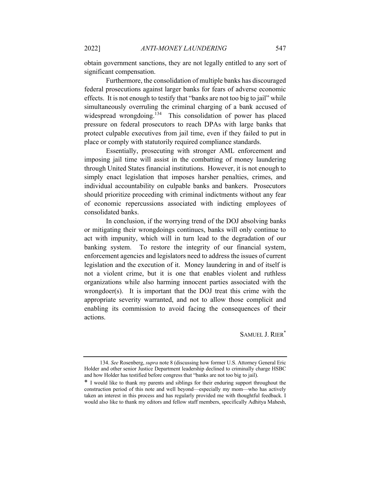obtain government sanctions, they are not legally entitled to any sort of significant compensation.

Furthermore, the consolidation of multiple banks has discouraged federal prosecutions against larger banks for fears of adverse economic effects. It is not enough to testify that "banks are not too big to jail" while simultaneously overruling the criminal charging of a bank accused of widespread wrongdoing.<sup>134</sup> This consolidation of power has placed pressure on federal prosecutors to reach DPAs with large banks that protect culpable executives from jail time, even if they failed to put in place or comply with statutorily required compliance standards.

Essentially, prosecuting with stronger AML enforcement and imposing jail time will assist in the combatting of money laundering through United States financial institutions. However, it is not enough to simply enact legislation that imposes harsher penalties, crimes, and individual accountability on culpable banks and bankers. Prosecutors should prioritize proceeding with criminal indictments without any fear of economic repercussions associated with indicting employees of consolidated banks.

In conclusion, if the worrying trend of the DOJ absolving banks or mitigating their wrongdoings continues, banks will only continue to act with impunity, which will in turn lead to the degradation of our banking system. To restore the integrity of our financial system, enforcement agencies and legislators need to address the issues of current legislation and the execution of it. Money laundering in and of itself is not a violent crime, but it is one that enables violent and ruthless organizations while also harming innocent parties associated with the wrongdoer(s). It is important that the DOJ treat this crime with the appropriate severity warranted, and not to allow those complicit and enabling its commission to avoid facing the consequences of their actions.

SAMUEL J. RIER\*

<sup>134.</sup> *See* Rosenberg, *supra* note 8 (discussing how former U.S. Attorney General Eric Holder and other senior Justice Department leadership declined to criminally charge HSBC and how Holder has testified before congress that "banks are not too big to jail).

<sup>\*</sup> I would like to thank my parents and siblings for their enduring support throughout the construction period of this note and well beyond—especially my mom—who has actively taken an interest in this process and has regularly provided me with thoughtful feedback. I would also like to thank my editors and fellow staff members, specifically Adhitya Mahesh,